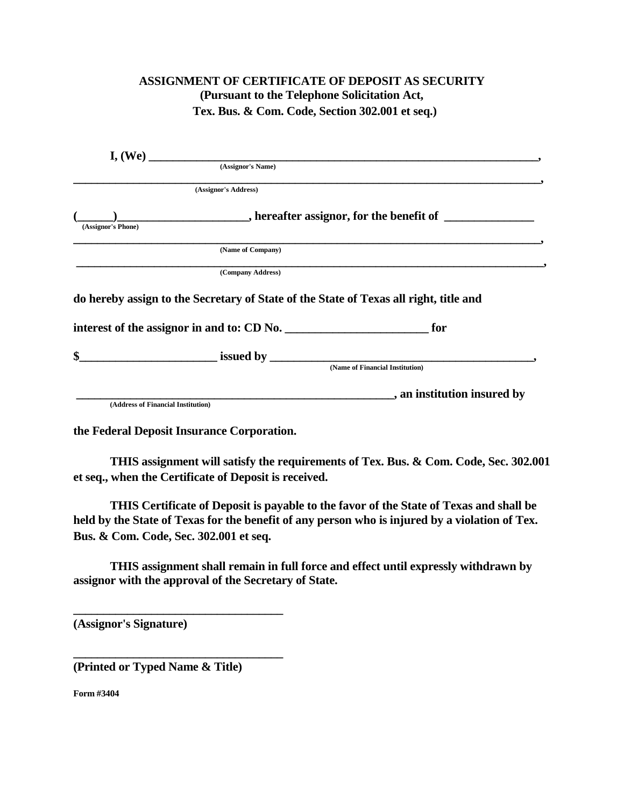## **ASSIGNMENT OF CERTIFICATE OF DEPOSIT AS SECURITY (Pursuant to the Telephone Solicitation Act, Tex. Bus. & Com. Code, Section 302.001 et seq.)**

|                                            |                                                                                       | I, (We)                                                                                                                                                                                                                              |
|--------------------------------------------|---------------------------------------------------------------------------------------|--------------------------------------------------------------------------------------------------------------------------------------------------------------------------------------------------------------------------------------|
|                                            | (Assignor's Name)                                                                     |                                                                                                                                                                                                                                      |
|                                            | (Assignor's Address)                                                                  |                                                                                                                                                                                                                                      |
|                                            |                                                                                       |                                                                                                                                                                                                                                      |
| (Assignor's Phone)                         |                                                                                       |                                                                                                                                                                                                                                      |
|                                            | (Name of Company)                                                                     |                                                                                                                                                                                                                                      |
|                                            | (Company Address)                                                                     |                                                                                                                                                                                                                                      |
|                                            | do hereby assign to the Secretary of State of the State of Texas all right, title and |                                                                                                                                                                                                                                      |
| interest of the assignor in and to: CD No. |                                                                                       | for                                                                                                                                                                                                                                  |
| \$                                         |                                                                                       | <u>issued by and the contract of the set of the set of the set of the set of the set of the set of the set of the set of the set of the set of the set of the set of the set of the set of the set of the set of the set of the </u> |
|                                            |                                                                                       | (Name of Financial Institution)                                                                                                                                                                                                      |
|                                            |                                                                                       | , an institution insured by                                                                                                                                                                                                          |
|                                            |                                                                                       |                                                                                                                                                                                                                                      |

**the Federal Deposit Insurance Corporation.**

**THIS assignment will satisfy the requirements of Tex. Bus. & Com. Code, Sec. 302.001 et seq., when the Certificate of Deposit is received.**

**THIS Certificate of Deposit is payable to the favor of the State of Texas and shall be held by the State of Texas for the benefit of any person who is injured by a violation of Tex. Bus. & Com. Code, Sec. 302.001 et seq.**

**THIS assignment shall remain in full force and effect until expressly withdrawn by assignor with the approval of the Secretary of State.** 

**(Assignor's Signature)** 

**(Printed or Typed Name & Title)**

**\_\_\_\_\_\_\_\_\_\_\_\_\_\_\_\_\_\_\_\_\_\_\_\_\_\_\_\_\_\_\_\_\_\_\_**

**\_\_\_\_\_\_\_\_\_\_\_\_\_\_\_\_\_\_\_\_\_\_\_\_\_\_\_\_\_\_\_\_\_\_\_**

**Form #3404**